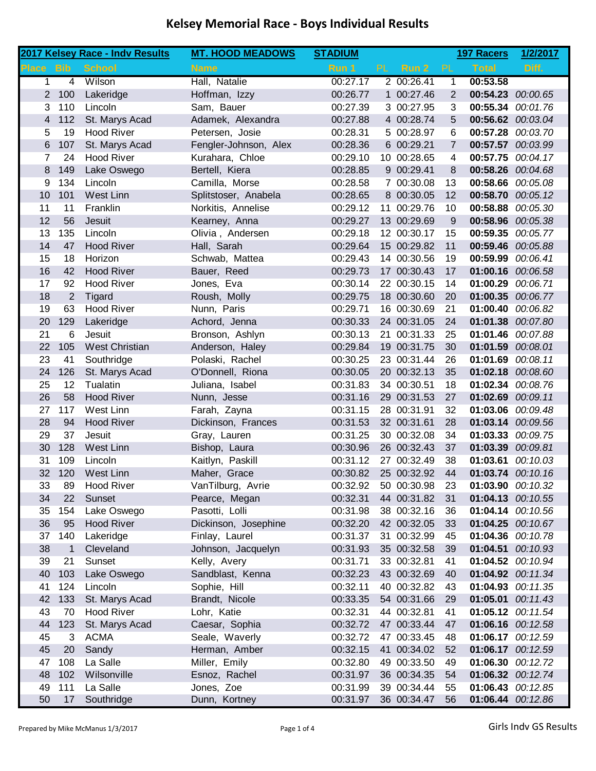|              |                | 2017 Kelsey Race - Indv Results | <b>MT. HOOD MEADOWS</b> | <b>STADIUM</b> |           |             |                | <b>197 Racers</b> | 1/2/2017          |
|--------------|----------------|---------------------------------|-------------------------|----------------|-----------|-------------|----------------|-------------------|-------------------|
| <b>Place</b> | <b>Bib</b>     | <b>School</b>                   | <b>Name</b>             | Run 1          | <b>PL</b> | Run 2       | PL             | <b>Total</b>      | Diff.             |
| 1            | 4              | Wilson                          | Hall, Natalie           | 00:27.17       |           | 2 00:26.41  | 1              | 00:53.58          |                   |
| 2            | 100            | Lakeridge                       | Hoffman, Izzy           | 00:26.77       |           | 1 00:27.46  | 2              | 00:54.23          | 00:00.65          |
| 3            | 110            | Lincoln                         | Sam, Bauer              | 00:27.39       |           | 3 00:27.95  | 3              | 00:55.34          | 00:01.76          |
| 4            | 112            | St. Marys Acad                  | Adamek, Alexandra       | 00:27.88       |           | 4 00:28.74  | 5              | 00:56.62          | 00:03.04          |
| 5            | 19             | <b>Hood River</b>               | Petersen, Josie         | 00:28.31       |           | 5 00:28.97  | 6              | 00:57.28          | 00:03.70          |
| 6            | 107            | St. Marys Acad                  | Fengler-Johnson, Alex   | 00:28.36       |           | 6 00:29.21  | $\overline{7}$ | 00:57.57          | 00:03.99          |
| 7            | 24             | <b>Hood River</b>               | Kurahara, Chloe         | 00:29.10       |           | 10 00:28.65 | 4              | 00:57.75          | 00:04.17          |
| 8            | 149            | Lake Oswego                     | Bertell, Kiera          | 00:28.85       |           | 9 00:29.41  | 8              | 00:58.26          | 00:04.68          |
| 9            | 134            | Lincoln                         | Camilla, Morse          | 00:28.58       |           | 7 00:30.08  | 13             | 00:58.66          | 00:05.08          |
| 10           | 101            | <b>West Linn</b>                | Splitstoser, Anabela    | 00:28.65       |           | 8 00:30.05  | 12             | 00:58.70          | 00:05.12          |
| 11           | 11             | Franklin                        | Norkitis, Annelise      | 00:29.12       |           | 11 00:29.76 | 10             | 00:58.88          | 00:05.30          |
| 12           | 56             | Jesuit                          | Kearney, Anna           | 00:29.27       |           | 13 00:29.69 | 9              | 00:58.96          | 00:05.38          |
| 13           | 135            | Lincoln                         | Olivia, Andersen        | 00:29.18       |           | 12 00:30.17 | 15             | 00:59.35          | 00:05.77          |
| 14           | 47             | <b>Hood River</b>               | Hall, Sarah             | 00:29.64       |           | 15 00:29.82 | 11             | 00:59.46          | 00:05.88          |
| 15           | 18             | Horizon                         | Schwab, Mattea          | 00:29.43       |           | 14 00:30.56 | 19             | 00:59.99          | 00:06.41          |
| 16           | 42             | <b>Hood River</b>               | Bauer, Reed             | 00:29.73       |           | 17 00:30.43 | 17             | 01:00.16          | 00:06.58          |
| 17           | 92             | <b>Hood River</b>               | Jones, Eva              | 00:30.14       |           | 22 00:30.15 | 14             | 01:00.29          | 00:06.71          |
| 18           | $\overline{2}$ | Tigard                          | Roush, Molly            | 00:29.75       |           | 18 00:30.60 | 20             | 01:00.35          | 00:06.77          |
| 19           | 63             | <b>Hood River</b>               | Nunn, Paris             | 00:29.71       |           | 16 00:30.69 | 21             | 01:00.40          | 00:06.82          |
| 20           | 129            | Lakeridge                       | Achord, Jenna           | 00:30.33       |           | 24 00:31.05 | 24             | 01:01.38          | 00:07.80          |
| 21           | 6              | Jesuit                          | Bronson, Ashlyn         | 00:30.13       | 21        | 00:31.33    | 25             | 01:01.46          | 00:07.88          |
| 22           | 105            | <b>West Christian</b>           | Anderson, Haley         | 00:29.84       |           | 19 00:31.75 | 30             | 01:01.59          | 00:08.01          |
| 23           | 41             | Southridge                      | Polaski, Rachel         | 00:30.25       |           | 23 00:31.44 | 26             | 01:01.69          | 00:08.11          |
| 24           | 126            | St. Marys Acad                  | O'Donnell, Riona        | 00:30.05       |           | 20 00:32.13 | 35             | 01:02.18          | 00:08.60          |
| 25           | 12             | Tualatin                        | Juliana, Isabel         | 00:31.83       |           | 34 00:30.51 | 18             | 01:02.34          | 00:08.76          |
| 26           | 58             | <b>Hood River</b>               | Nunn, Jesse             | 00:31.16       |           | 29 00:31.53 | 27             | 01:02.69          | 00:09.11          |
| 27           | 117            | West Linn                       | Farah, Zayna            | 00:31.15       |           | 28 00:31.91 | 32             | 01:03.06          | 00:09.48          |
| 28           | 94             | <b>Hood River</b>               | Dickinson, Frances      | 00:31.53       |           | 32 00:31.61 | 28             | 01:03.14          | 00:09.56          |
| 29           | 37             | Jesuit                          | Gray, Lauren            | 00:31.25       |           | 30 00:32.08 | 34             | 01:03.33          | 00:09.75          |
| 30           | 128            | <b>West Linn</b>                | Bishop, Laura           | 00:30.96       |           | 26 00:32.43 | 37             | 01:03.39          | 00:09.81          |
| 31           | 109            | Lincoln                         | Kaitlyn, Paskill        | 00:31.12       |           | 27 00:32.49 | 38             | 01:03.61          | 00:10.03          |
| 32           | 120            | <b>West Linn</b>                | Maher, Grace            | 00:30.82       |           | 25 00:32.92 | 44             | 01:03.74          | 00:10.16          |
| 33           | 89             | <b>Hood River</b>               | VanTilburg, Avrie       | 00:32.92       |           | 50 00:30.98 | 23             | 01:03.90 00:10.32 |                   |
| 34           | 22             | Sunset                          | Pearce, Megan           | 00:32.31       |           | 44 00:31.82 | 31             |                   | 01:04.13 00:10.55 |
| 35           | 154            | Lake Oswego                     | Pasotti, Lolli          | 00:31.98       |           | 38 00:32.16 | 36             |                   | 01:04.14 00:10.56 |
| 36           | 95             | <b>Hood River</b>               | Dickinson, Josephine    | 00:32.20       |           | 42 00:32.05 | 33             |                   | 01:04.25 00:10.67 |
| 37           | 140            | Lakeridge                       | Finlay, Laurel          | 00:31.37       |           | 31 00:32.99 | 45             |                   | 01:04.36 00:10.78 |
| 38           | $\mathbf{1}$   | Cleveland                       | Johnson, Jacquelyn      | 00:31.93       |           | 35 00:32.58 | 39             | 01:04.51          | 00:10.93          |
| 39           | 21             | Sunset                          | Kelly, Avery            | 00:31.71       |           | 33 00:32.81 | 41             |                   | 01:04.52 00:10.94 |
| 40           | 103            | Lake Oswego                     | Sandblast, Kenna        | 00:32.23       |           | 43 00:32.69 | 40             |                   | 01:04.92 00:11.34 |
| 41           | 124            | Lincoln                         | Sophie, Hill            | 00:32.11       |           | 40 00:32.82 | 43             |                   | 01:04.93 00:11.35 |
| 42           | 133            | St. Marys Acad                  | Brandt, Nicole          | 00:33.35       |           | 54 00:31.66 | 29             | 01:05.01          | 00:11.43          |
| 43           | 70             | <b>Hood River</b>               | Lohr, Katie             | 00:32.31       |           | 44 00:32.81 | 41             |                   | 01:05.12 00:11.54 |
| 44           | 123            | St. Marys Acad                  | Caesar, Sophia          | 00:32.72       |           | 47 00:33.44 | 47             | 01:06.16          | 00:12.58          |
| 45           | 3              | <b>ACMA</b>                     | Seale, Waverly          | 00:32.72       |           | 47 00:33.45 | 48             | 01:06.17          | 00:12.59          |
| 45           | 20             | Sandy                           | Herman, Amber           | 00:32.15       |           | 41 00:34.02 | 52             | 01:06.17          | 00:12.59          |
| 47           | 108            | La Salle                        | Miller, Emily           | 00:32.80       |           | 49 00:33.50 | 49             | 01:06.30          | 00:12.72          |
| 48           | 102            | Wilsonville                     | Esnoz, Rachel           | 00:31.97       |           | 36 00:34.35 | 54             |                   | 01:06.32 00:12.74 |
| 49           | 111            | La Salle                        | Jones, Zoe              | 00:31.99       |           | 39 00:34.44 | 55             | 01:06.43          | 00:12.85          |
| 50           | 17             | Southridge                      | Dunn, Kortney           | 00:31.97       |           | 36 00:34.47 | 56             |                   | 01:06.44 00:12.86 |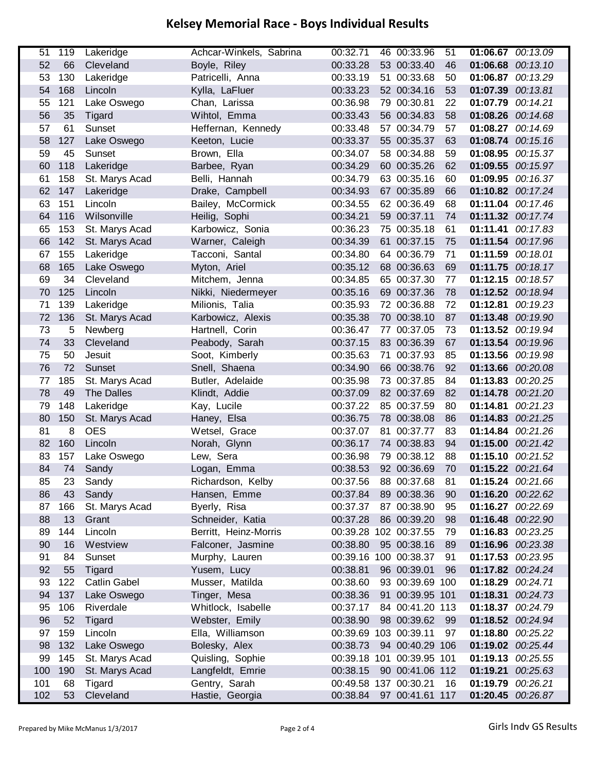| 51  | 119 | Lakeridge           | Achcar-Winkels, Sabrina | 00:32.71              | 46 00:33.96               | 51 | 01:06.67 00:13.09 |                   |
|-----|-----|---------------------|-------------------------|-----------------------|---------------------------|----|-------------------|-------------------|
| 52  | 66  | Cleveland           | Boyle, Riley            | 00:33.28              | 53 00:33.40               | 46 | 01:06.68          | 00:13.10          |
| 53  | 130 | Lakeridge           | Patricelli, Anna        | 00:33.19              | 51 00:33.68               | 50 |                   | 01:06.87 00:13.29 |
| 54  | 168 | Lincoln             | Kylla, LaFluer          | 00:33.23              | 52 00:34.16               | 53 | 01:07.39 00:13.81 |                   |
| 55  | 121 | Lake Oswego         | Chan, Larissa           | 00:36.98              | 79 00:30.81               | 22 | 01:07.79 00:14.21 |                   |
| 56  | 35  | Tigard              | Wihtol, Emma            | 00:33.43              | 56 00:34.83               | 58 | 01:08.26          | 00:14.68          |
| 57  | 61  | Sunset              | Heffernan, Kennedy      | 00:33.48              | 57 00:34.79               | 57 |                   | 01:08.27 00:14.69 |
| 58  | 127 | Lake Oswego         | Keeton, Lucie           | 00:33.37              | 55 00:35.37               | 63 |                   | 01:08.74 00:15.16 |
| 59  | 45  | Sunset              | Brown, Ella             | 00:34.07              | 58 00:34.88               | 59 |                   | 01:08.95 00:15.37 |
| 60  | 118 | Lakeridge           | Barbee, Ryan            | 00:34.29              | 60 00:35.26               | 62 |                   | 01:09.55 00:15.97 |
| 61  | 158 | St. Marys Acad      | Belli, Hannah           | 00:34.79              | 63 00:35.16               | 60 |                   | 01:09.95 00:16.37 |
| 62  | 147 | Lakeridge           | Drake, Campbell         | 00:34.93              | 67 00:35.89               | 66 |                   | 01:10.82 00:17.24 |
| 63  | 151 | Lincoln             | Bailey, McCormick       | 00:34.55              | 62 00:36.49               | 68 |                   | 01:11.04 00:17.46 |
| 64  | 116 | Wilsonville         | Heilig, Sophi           | 00:34.21              | 59 00:37.11               | 74 |                   | 01:11.32 00:17.74 |
| 65  | 153 | St. Marys Acad      | Karbowicz, Sonia        | 00:36.23              | 75 00:35.18               | 61 | 01:11.41          | 00:17.83          |
| 66  | 142 | St. Marys Acad      | Warner, Caleigh         | 00:34.39              | 61 00:37.15               | 75 |                   | 01:11.54 00:17.96 |
| 67  | 155 | Lakeridge           | Tacconi, Santal         | 00:34.80              | 64 00:36.79               | 71 | 01:11.59 00:18.01 |                   |
| 68  | 165 | Lake Oswego         | Myton, Ariel            | 00:35.12              | 68 00:36.63               | 69 | 01:11.75          | 00:18.17          |
| 69  | 34  | Cleveland           | Mitchem, Jenna          | 00:34.85              | 65 00:37.30               | 77 |                   | 01:12.15 00:18.57 |
| 70  | 125 | Lincoln             | Nikki, Niedermeyer      | 00:35.16              | 69 00:37.36               | 78 | 01:12.52          | 00:18.94          |
| 71  | 139 | Lakeridge           | Milionis, Talia         | 00:35.93              | 72 00:36.88               | 72 | 01:12.81          | 00:19.23          |
| 72  | 136 | St. Marys Acad      | Karbowicz, Alexis       | 00:35.38              | 70 00:38.10               | 87 |                   | 01:13.48 00:19.90 |
| 73  | 5   | Newberg             | Hartnell, Corin         | 00:36.47              | 77 00:37.05               | 73 | 01:13.52 00:19.94 |                   |
| 74  | 33  | Cleveland           | Peabody, Sarah          | 00:37.15              | 83 00:36.39               | 67 |                   | 01:13.54 00:19.96 |
| 75  | 50  | Jesuit              | Soot, Kimberly          | 00:35.63              | 71 00:37.93               | 85 | 01:13.56          | 00:19.98          |
| 76  | 72  | Sunset              | Snell, Shaena           | 00:34.90              | 66 00:38.76               | 92 | 01:13.66          | 00:20.08          |
| 77  | 185 | St. Marys Acad      | Butler, Adelaide        | 00:35.98              | 73 00:37.85               | 84 | 01:13.83          | 00:20.25          |
| 78  | 49  | The Dalles          | Klindt, Addie           | 00:37.09              | 82 00:37.69               | 82 |                   | 01:14.78 00:21.20 |
| 79  | 148 | Lakeridge           | Kay, Lucile             | 00:37.22              | 85 00:37.59               | 80 |                   | 01:14.81 00:21.23 |
| 80  | 150 | St. Marys Acad      | Haney, Elsa             | 00:36.75              | 78 00:38.08               | 86 | 01:14.83          | 00:21.25          |
| 81  | 8   | <b>OES</b>          | Wetsel, Grace           | 00:37.07              | 81 00:37.77               | 83 | 01:14.84          | 00:21.26          |
| 82  | 160 | Lincoln             | Norah, Glynn            | 00:36.17              | 74 00:38.83               | 94 | 01:15.00          | 00:21.42          |
| 83  | 157 | Lake Oswego         | Lew, Sera               | 00:36.98              | 79 00:38.12               | 88 | 01:15.10          | 00:21.52          |
| 84  | 74  | Sandy               | Logan, Emma             | 00:38.53              | 92 00:36.69               | 70 |                   | 01:15.22 00:21.64 |
| 85  | 23  | Sandy               | Richardson, Kelby       | 00:37.56              | 88 00:37.68               | 81 | 01:15.24 00:21.66 |                   |
| 86  | 43  | Sandy               | Hansen, Emme            | 00:37.84              | 89 00:38.36               | 90 | 01:16.20 00:22.62 |                   |
| 87  | 166 | St. Marys Acad      | Byerly, Risa            | 00:37.37              | 87 00:38.90               | 95 |                   | 01:16.27 00:22.69 |
| 88  | 13  | Grant               | Schneider, Katia        | 00:37.28              | 86 00:39.20               | 98 |                   | 01:16.48 00:22.90 |
| 89  | 144 | Lincoln             | Berritt, Heinz-Morris   |                       | 00:39.28 102 00:37.55     | 79 |                   | 01:16.83 00:23.25 |
| 90  | 16  | Westview            | Falconer, Jasmine       | 00:38.80              | 95 00:38.16               | 89 |                   | 01:16.96 00:23.38 |
| 91  | 84  | Sunset              | Murphy, Lauren          | 00:39.16 100 00:38.37 |                           | 91 |                   | 01:17.53 00:23.95 |
| 92  | 55  | <b>Tigard</b>       | Yusem, Lucy             | 00:38.81              | 96 00:39.01               | 96 |                   | 01:17.82 00:24.24 |
| 93  | 122 | <b>Catlin Gabel</b> | Musser, Matilda         | 00:38.60              | 93 00:39.69 100           |    | 01:18.29 00:24.71 |                   |
| 94  | 137 | Lake Oswego         | Tinger, Mesa            | 00:38.36              | 91 00:39.95 101           |    |                   | 01:18.31 00:24.73 |
| 95  | 106 | Riverdale           | Whitlock, Isabelle      | 00:37.17              | 84 00:41.20 113           |    |                   | 01:18.37 00:24.79 |
| 96  | 52  | Tigard              | Webster, Emily          | 00:38.90              | 98 00:39.62               | 99 |                   | 01:18.52 00:24.94 |
| 97  | 159 | Lincoln             | Ella, Williamson        | 00:39.69 103 00:39.11 |                           | 97 | 01:18.80 00:25.22 |                   |
| 98  | 132 | Lake Oswego         | Bolesky, Alex           | 00:38.73              | 94 00:40.29 106           |    |                   | 01:19.02 00:25.44 |
| 99  | 145 | St. Marys Acad      | Quisling, Sophie        |                       | 00:39.18 101 00:39.95 101 |    |                   | 01:19.13 00:25.55 |
| 100 | 190 | St. Marys Acad      | Langfeldt, Emrie        | 00:38.15              | 90 00:41.06 112           |    | 01:19.21          | 00:25.63          |
| 101 | 68  | Tigard              | Gentry, Sarah           | 00:49.58 137 00:30.21 |                           | 16 | 01:19.79          | 00:26.21          |
| 102 | 53  | Cleveland           | Hastie, Georgia         | 00:38.84              | 97 00:41.61 117           |    | 01:20.45          | 00:26.87          |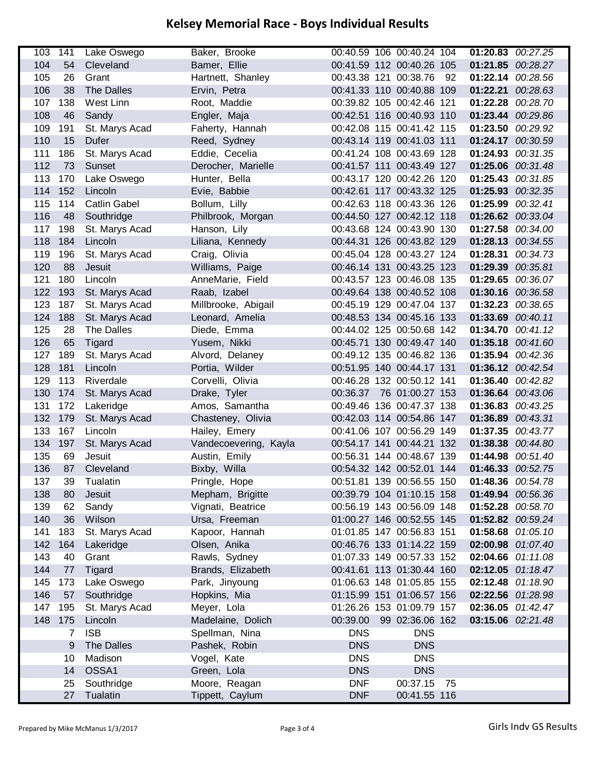| 103 | 141 | Lake Oswego         | Baker, Brooke         |            | 00:40.59 106 00:40.24 104 |    | 01:20.83 00:27.25 |                   |
|-----|-----|---------------------|-----------------------|------------|---------------------------|----|-------------------|-------------------|
| 104 | 54  | Cleveland           | Bamer, Ellie          |            | 00:41.59 112 00:40.26 105 |    | 01:21.85          | 00:28.27          |
| 105 | 26  | Grant               | Hartnett, Shanley     |            | 00:43.38 121 00:38.76     | 92 | 01:22.14          | 00:28.56          |
| 106 | 38  | The Dalles          | Ervin, Petra          |            | 00:41.33 110 00:40.88 109 |    | 01:22.21 00:28.63 |                   |
| 107 | 138 | West Linn           | Root, Maddie          |            | 00:39.82 105 00:42.46 121 |    | 01:22.28 00:28.70 |                   |
| 108 | 46  | Sandy               | Engler, Maja          |            | 00:42.51 116 00:40.93 110 |    | 01:23.44          | 00:29.86          |
| 109 | 191 | St. Marys Acad      | Faherty, Hannah       |            | 00:42.08 115 00:41.42 115 |    | 01:23.50          | 00:29.92          |
| 110 | 15  | Dufer               | Reed, Sydney          |            | 00:43.14 119 00:41.03 111 |    | 01:24.17          | 00:30.59          |
| 111 | 186 | St. Marys Acad      | Eddie, Cecelia        |            | 00:41.24 108 00:43.69 128 |    | 01:24.93          | 00:31.35          |
| 112 | 73  | Sunset              | Derocher, Marielle    |            | 00:41.57 111 00:43.49 127 |    | 01:25.06 00:31.48 |                   |
| 113 | 170 | Lake Oswego         | Hunter, Bella         |            | 00:43.17 120 00:42.26 120 |    | 01:25.43 00:31.85 |                   |
| 114 | 152 | Lincoln             | Evie, Babbie          |            | 00:42.61 117 00:43.32 125 |    | 01:25.93          | 00:32.35          |
| 115 | 114 | <b>Catlin Gabel</b> | Bollum, Lilly         |            | 00:42.63 118 00:43.36 126 |    | 01:25.99          | 00:32.41          |
| 116 | 48  | Southridge          | Philbrook, Morgan     |            | 00:44.50 127 00:42.12 118 |    | 01:26.62 00:33.04 |                   |
| 117 | 198 | St. Marys Acad      | Hanson, Lily          |            | 00:43.68 124 00:43.90 130 |    | 01:27.58 00:34.00 |                   |
| 118 | 184 | Lincoln             | Liliana, Kennedy      |            | 00:44.31 126 00:43.82 129 |    | 01:28.13 00:34.55 |                   |
| 119 | 196 | St. Marys Acad      | Craig, Olivia         |            | 00:45.04 128 00:43.27 124 |    | 01:28.31 00:34.73 |                   |
| 120 | 88  | <b>Jesuit</b>       | Williams, Paige       |            | 00:46.14 131 00:43.25 123 |    | 01:29.39          | 00:35.81          |
| 121 | 180 | Lincoln             | AnneMarie, Field      |            | 00:43.57 123 00:46.08 135 |    | 01:29.65          | 00:36.07          |
| 122 | 193 | St. Marys Acad      | Raab, Izabel          |            | 00:49.64 138 00:40.52 108 |    | 01:30.16          | 00:36.58          |
| 123 | 187 | St. Marys Acad      | Millbrooke, Abigail   |            | 00:45.19 129 00:47.04 137 |    | 01:32.23          | 00:38.65          |
| 124 | 188 | St. Marys Acad      | Leonard, Amelia       |            | 00:48.53 134 00:45.16 133 |    | 01:33.69 00:40.11 |                   |
| 125 | 28  | <b>The Dalles</b>   | Diede, Emma           |            | 00:44.02 125 00:50.68 142 |    | 01:34.70 00:41.12 |                   |
| 126 | 65  | <b>Tigard</b>       | Yusem, Nikki          |            | 00:45.71 130 00:49.47 140 |    | 01:35.18 00:41.60 |                   |
| 127 | 189 | St. Marys Acad      | Alvord, Delaney       |            | 00:49.12 135 00:46.82 136 |    | 01:35.94 00:42.36 |                   |
| 128 | 181 | Lincoln             | Portia, Wilder        |            | 00:51.95 140 00:44.17 131 |    | 01:36.12 00:42.54 |                   |
| 129 | 113 | Riverdale           | Corvelli, Olivia      |            | 00:46.28 132 00:50.12 141 |    | 01:36.40          | 00:42.82          |
| 130 | 174 | St. Marys Acad      | Drake, Tyler          | 00:36.37   | 76 01:00.27 153           |    | 01:36.64          | 00:43.06          |
| 131 | 172 | Lakeridge           | Amos, Samantha        |            | 00:49.46 136 00:47.37 138 |    | 01:36.83 00:43.25 |                   |
| 132 | 179 | St. Marys Acad      | Chasteney, Olivia     |            | 00:42.03 114 00:54.86 147 |    | 01:36.89          | 00:43.31          |
| 133 | 167 | Lincoln             | Hailey, Emery         |            | 00:41.06 107 00:56.29 149 |    | 01:37.35          | 00:43.77          |
| 134 | 197 | St. Marys Acad      | Vandecoevering, Kayla |            | 00:54.17 141 00:44.21 132 |    | 01:38.38          | 00:44.80          |
| 135 | 69  | Jesuit              | Austin, Emily         |            | 00:56.31 144 00:48.67 139 |    | 01:44.98          | 00:51.40          |
| 136 | 87  | Cleveland           | Bixby, Willa          |            | 00:54.32 142 00:52.01 144 |    | 01:46.33 00:52.75 |                   |
| 137 | 39  | Tualatin            | Pringle, Hope         |            | 00:51.81 139 00:56.55 150 |    | 01:48.36 00:54.78 |                   |
| 138 | 80  | Jesuit              | Mepham, Brigitte      |            | 00:39.79 104 01:10.15 158 |    | 01:49.94 00:56.36 |                   |
| 139 | 62  | Sandy               | Vignati, Beatrice     |            | 00:56.19 143 00:56.09 148 |    | 01:52.28 00:58.70 |                   |
| 140 | 36  | Wilson              | Ursa, Freeman         |            | 01:00.27 146 00:52.55 145 |    |                   | 01:52.82 00:59.24 |
| 141 | 183 | St. Marys Acad      | Kapoor, Hannah        |            | 01:01.85 147 00:56.83 151 |    | 01:58.68          | 01:05.10          |
| 142 | 164 | Lakeridge           | Olsen, Anika          |            | 00:46.76 133 01:14.22 159 |    |                   | 02:00.98 01:07.40 |
| 143 | 40  | Grant               | Rawls, Sydney         |            | 01:07.33 149 00:57.33 152 |    | 02:04.66 01:11.08 |                   |
| 144 | 77  | Tigard              | Brands, Elizabeth     |            | 00:41.61 113 01:30.44 160 |    |                   | 02:12.05 01:18.47 |
| 145 | 173 | Lake Oswego         | Park, Jinyoung        |            | 01:06.63 148 01:05.85 155 |    | 02:12.48 01:18.90 |                   |
| 146 | 57  | Southridge          | Hopkins, Mia          |            | 01:15.99 151 01:06.57 156 |    | 02:22.56 01:28.98 |                   |
| 147 | 195 | St. Marys Acad      | Meyer, Lola           |            | 01:26.26 153 01:09.79 157 |    |                   | 02:36.05 01:42.47 |
| 148 | 175 | Lincoln             | Madelaine, Dolich     | 00:39.00   | 99 02:36.06 162           |    | 03:15.06 02:21.48 |                   |
|     | 7   | <b>ISB</b>          | Spellman, Nina        | <b>DNS</b> | <b>DNS</b>                |    |                   |                   |
|     | 9   | <b>The Dalles</b>   | Pashek, Robin         | <b>DNS</b> | <b>DNS</b>                |    |                   |                   |
|     | 10  | Madison             | Vogel, Kate           | <b>DNS</b> | <b>DNS</b>                |    |                   |                   |
|     | 14  | OSSA1               | Green, Lola           | <b>DNS</b> | <b>DNS</b>                |    |                   |                   |
|     | 25  | Southridge          | Moore, Reagan         | <b>DNF</b> | 00:37.15                  | 75 |                   |                   |
|     | 27  | Tualatin            | Tippett, Caylum       | <b>DNF</b> | 00:41.55 116              |    |                   |                   |